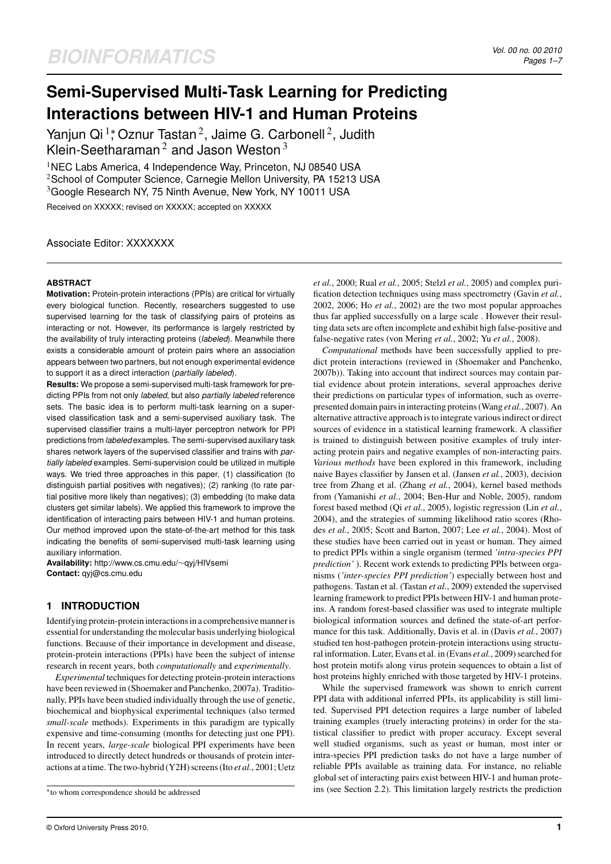# **Semi-Supervised Multi-Task Learning for Predicting Interactions between HIV-1 and Human Proteins**

Yanjun Qi<sup>1</sup>; Oznur Tastan<sup>2</sup>, Jaime G. Carbonell<sup>2</sup>, Judith Klein-Seetharaman<sup>2</sup> and Jason Weston<sup>3</sup>

<sup>1</sup>NEC Labs America, 4 Independence Way, Princeton, NJ 08540 USA  $2$ School of Computer Science, Carnegie Mellon University, PA 15213 USA <sup>3</sup>Google Research NY, 75 Ninth Avenue, New York, NY 10011 USA

Received on XXXXX; revised on XXXXX; accepted on XXXXX

Associate Editor: XXXXXXX

## **ABSTRACT**

**Motivation:** Protein-protein interactions (PPIs) are critical for virtually every biological function. Recently, researchers suggested to use supervised learning for the task of classifying pairs of proteins as interacting or not. However, its performance is largely restricted by the availability of truly interacting proteins (*labeled*). Meanwhile there exists a considerable amount of protein pairs where an association appears between two partners, but not enough experimental evidence to support it as a direct interaction (*partially labeled*).

**Results:** We propose a semi-supervised multi-task framework for predicting PPIs from not only *labeled*, but also *partially labeled* reference sets. The basic idea is to perform multi-task learning on a supervised classification task and a semi-supervised auxiliary task. The supervised classifier trains a multi-layer perceptron network for PPI predictions from *labeled* examples. The semi-supervised auxiliary task shares network layers of the supervised classifier and trains with *partially labeled* examples. Semi-supervision could be utilized in multiple ways. We tried three approaches in this paper, (1) classification (to distinguish partial positives with negatives); (2) ranking (to rate partial positive more likely than negatives); (3) embedding (to make data clusters get similar labels). We applied this framework to improve the identification of interacting pairs between HIV-1 and human proteins. Our method improved upon the state-of-the-art method for this task indicating the benefits of semi-supervised multi-task learning using auxiliary information.

**Availability:** http://www.cs.cmu.edu/∼qyj/HIVsemi **Contact:** qyj@cs.cmu.edu

## **1 INTRODUCTION**

Identifying protein-protein interactions in a comprehensive manner is essential for understanding the molecular basis underlying biological functions. Because of their importance in development and disease, protein-protein interactions (PPIs) have been the subject of intense research in recent years, both *computationally* and *experimentally*.

*Experimental* techniques for detecting protein-protein interactions have been reviewed in (Shoemaker and Panchenko, 2007a). Traditionally, PPIs have been studied individually through the use of genetic, biochemical and biophysical experimental techniques (also termed *small-scale* methods). Experiments in this paradigm are typically expensive and time-consuming (months for detecting just one PPI). In recent years, *large-scale* biological PPI experiments have been introduced to directly detect hundreds or thousands of protein interactions at a time. The two-hybrid (Y2H) screens (Ito *et al.*, 2001; Uetz *et al.*, 2000; Rual *et al.*, 2005; Stelzl *et al.*, 2005) and complex purification detection techniques using mass spectrometry (Gavin *et al.*, 2002, 2006; Ho *et al.*, 2002) are the two most popular approaches thus far applied successfully on a large scale . However their resulting data sets are often incomplete and exhibit high false-positive and false-negative rates (von Mering *et al.*, 2002; Yu *et al.*, 2008).

*Computational* methods have been successfully applied to predict protein interactions (reviewed in (Shoemaker and Panchenko, 2007b)). Taking into account that indirect sources may contain partial evidence about protein interations, several approaches derive their predictions on particular types of information, such as overrepresented domain pairs in interacting proteins (Wang *et al.*, 2007). An alternative attractive approach is to integrate various indirect or direct sources of evidence in a statistical learning framework. A classifier is trained to distinguish between positive examples of truly interacting protein pairs and negative examples of non-interacting pairs. *Various methods* have been explored in this framework, including naive Bayes classifier by Jansen et al. (Jansen *et al.*, 2003), decision tree from Zhang et al. (Zhang *et al.*, 2004), kernel based methods from (Yamanishi *et al.*, 2004; Ben-Hur and Noble, 2005), random forest based method (Qi *et al.*, 2005), logistic regression (Lin *et al.*, 2004), and the strategies of summing likelihood ratio scores (Rhodes *et al.*, 2005; Scott and Barton, 2007; Lee *et al.*, 2004). Most of these studies have been carried out in yeast or human. They aimed to predict PPIs within a single organism (termed *'intra-species PPI prediction'* ). Recent work extends to predicting PPIs between organisms (*'inter-species PPI prediction'*) especially between host and pathogens. Tastan et al. (Tastan *et al.*, 2009) extended the supervised learning framework to predict PPIs between HIV-1 and human proteins. A random forest-based classifier was used to integrate multiple biological information sources and defined the state-of-art performance for this task. Additionally, Davis et al. in (Davis *et al.*, 2007) studied ten host-pathogen protein-protein interactions using structural information. Later, Evans et al. in (Evans *et al.*, 2009) searched for host protein motifs along virus protein sequences to obtain a list of host proteins highly enriched with those targeted by HIV-1 proteins.

While the supervised framework was shown to enrich current PPI data with additional inferred PPIs, its applicability is still limited. Supervised PPI detection requires a large number of labeled training examples (truely interacting proteins) in order for the statistical classifier to predict with proper accuracy. Except several well studied organisms, such as yeast or human, most inter or intra-species PPI prediction tasks do not have a large number of reliable PPIs available as training data. For instance, no reliable global set of interacting pairs exist between HIV-1 and human proteins (see Section 2.2). This limitation largely restricts the prediction

<sup>∗</sup> to whom correspondence should be addressed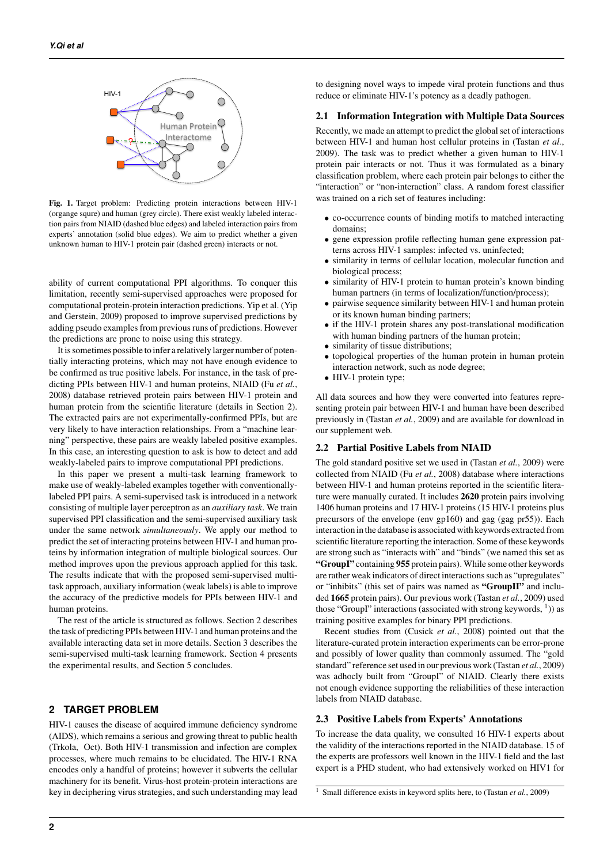

Fig. 1. Target problem: Predicting protein interactions between HIV-1 (organge squre) and human (grey circle). There exist weakly labeled interaction pairs from NIAID (dashed blue edges) and labeled interaction pairs from experts' annotation (solid blue edges). We aim to predict whether a given unknown human to HIV-1 protein pair (dashed green) interacts or not.

ability of current computational PPI algorithms. To conquer this limitation, recently semi-supervised approaches were proposed for computational protein-protein interaction predictions. Yip et al. (Yip and Gerstein, 2009) proposed to improve supervised predictions by adding pseudo examples from previous runs of predictions. However the predictions are prone to noise using this strategy.

It is sometimes possible to infer a relatively larger number of potentially interacting proteins, which may not have enough evidence to be confirmed as true positive labels. For instance, in the task of predicting PPIs between HIV-1 and human proteins, NIAID (Fu *et al.*, 2008) database retrieved protein pairs between HIV-1 protein and human protein from the scientific literature (details in Section 2). The extracted pairs are not experimentally-confirmed PPIs, but are very likely to have interaction relationships. From a "machine learning" perspective, these pairs are weakly labeled positive examples. In this case, an interesting question to ask is how to detect and add weakly-labeled pairs to improve computational PPI predictions.

In this paper we present a multi-task learning framework to make use of weakly-labeled examples together with conventionallylabeled PPI pairs. A semi-supervised task is introduced in a network consisting of multiple layer perceptron as an *auxiliary task*. We train supervised PPI classification and the semi-supervised auxiliary task under the same network *simultaneously*. We apply our method to predict the set of interacting proteins between HIV-1 and human proteins by information integration of multiple biological sources. Our method improves upon the previous approach applied for this task. The results indicate that with the proposed semi-supervised multitask approach, auxiliary information (weak labels) is able to improve the accuracy of the predictive models for PPIs between HIV-1 and human proteins.

The rest of the article is structured as follows. Section 2 describes the task of predicting PPIs between HIV-1 and human proteins and the available interacting data set in more details. Section 3 describes the semi-supervised multi-task learning framework. Section 4 presents the experimental results, and Section 5 concludes.

## **2 TARGET PROBLEM**

HIV-1 causes the disease of acquired immune deficiency syndrome (AIDS), which remains a serious and growing threat to public health (Trkola, Oct). Both HIV-1 transmission and infection are complex processes, where much remains to be elucidated. The HIV-1 RNA encodes only a handful of proteins; however it subverts the cellular machinery for its benefit. Virus-host protein-protein interactions are key in deciphering virus strategies, and such understanding may lead to designing novel ways to impede viral protein functions and thus reduce or eliminate HIV-1's potency as a deadly pathogen.

## 2.1 Information Integration with Multiple Data Sources

Recently, we made an attempt to predict the global set of interactions between HIV-1 and human host cellular proteins in (Tastan *et al.*, 2009). The task was to predict whether a given human to HIV-1 protein pair interacts or not. Thus it was formulated as a binary classification problem, where each protein pair belongs to either the "interaction" or "non-interaction" class. A random forest classifier was trained on a rich set of features including:

- co-occurrence counts of binding motifs to matched interacting domains;
- gene expression profile reflecting human gene expression patterns across HIV-1 samples: infected vs. uninfected;
- similarity in terms of cellular location, molecular function and biological process;
- similarity of HIV-1 protein to human protein's known binding human partners (in terms of localization/function/process);
- pairwise sequence similarity between HIV-1 and human protein or its known human binding partners;
- if the HIV-1 protein shares any post-translational modification with human binding partners of the human protein;
- similarity of tissue distributions:
- topological properties of the human protein in human protein interaction network, such as node degree;
- HIV-1 protein type;

All data sources and how they were converted into features representing protein pair between HIV-1 and human have been described previously in (Tastan *et al.*, 2009) and are available for download in our supplement web.

### 2.2 Partial Positive Labels from NIAID

The gold standard positive set we used in (Tastan *et al.*, 2009) were collected from NIAID (Fu *et al.*, 2008) database where interactions between HIV-1 and human proteins reported in the scientific literature were manually curated. It includes 2620 protein pairs involving 1406 human proteins and 17 HIV-1 proteins (15 HIV-1 proteins plus precursors of the envelope (env gp160) and gag (gag pr55)). Each interaction in the database is associated with keywords extracted from scientific literature reporting the interaction. Some of these keywords are strong such as "interacts with" and "binds" (we named this set as "GroupI" containing 955 protein pairs). While some other keywords are rather weak indicators of direct interactions such as "upregulates" or "inhibits" (this set of pairs was named as "GroupII" and included 1665 protein pairs). Our previous work (Tastan *et al.*, 2009) used those "GroupI" interactions (associated with strong keywords,  $(1)$ ) as training positive examples for binary PPI predictions.

Recent studies from (Cusick *et al.*, 2008) pointed out that the literature-curated protein interaction experiments can be error-prone and possibly of lower quality than commonly assumed. The "gold standard" reference set used in our previous work (Tastan *et al.*, 2009) was adhocly built from "GroupI" of NIAID. Clearly there exists not enough evidence supporting the reliabilities of these interaction labels from NIAID database.

#### 2.3 Positive Labels from Experts' Annotations

To increase the data quality, we consulted 16 HIV-1 experts about the validity of the interactions reported in the NIAID database. 15 of the experts are professors well known in the HIV-1 field and the last expert is a PHD student, who had extensively worked on HIV1 for

<sup>1</sup> Small difference exists in keyword splits here, to (Tastan *et al.*, 2009)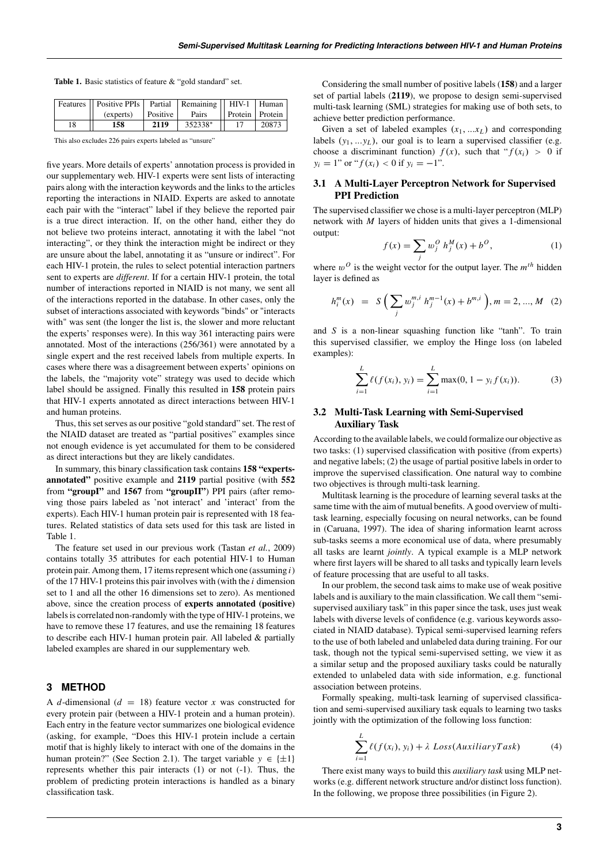Table 1. Basic statistics of feature & "gold standard" set.

|    | Features    Positive PPIs   Partial   Remaining    HIV-1   Human  <br>(experts) | Positive 1 | Pairs   | Protein   Protein |       |
|----|---------------------------------------------------------------------------------|------------|---------|-------------------|-------|
| 18 | 158                                                                             | 2119       | 352338* |                   | 20873 |

This also excludes 226 pairs experts labeled as "unsure"

five years. More details of experts' annotation process is provided in our supplementary web. HIV-1 experts were sent lists of interacting pairs along with the interaction keywords and the links to the articles reporting the interactions in NIAID. Experts are asked to annotate each pair with the "interact" label if they believe the reported pair is a true direct interaction. If, on the other hand, either they do not believe two proteins interact, annotating it with the label "not interacting", or they think the interaction might be indirect or they are unsure about the label, annotating it as "unsure or indirect". For each HIV-1 protein, the rules to select potential interaction partners sent to experts are *different*. If for a certain HIV-1 protein, the total number of interactions reported in NIAID is not many, we sent all of the interactions reported in the database. In other cases, only the subset of interactions associated with keywords "binds" or "interacts with" was sent (the longer the list is, the slower and more reluctant the experts' responses were). In this way 361 interacting pairs were annotated. Most of the interactions (256/361) were annotated by a single expert and the rest received labels from multiple experts. In cases where there was a disagreement between experts' opinions on the labels, the "majority vote" strategy was used to decide which label should be assigned. Finally this resulted in 158 protein pairs that HIV-1 experts annotated as direct interactions between HIV-1 and human proteins.

Thus, this set serves as our positive "gold standard" set. The rest of the NIAID dataset are treated as "partial positives" examples since not enough evidence is yet accumulated for them to be considered as direct interactions but they are likely candidates.

In summary, this binary classification task contains 158 "expertsannotated" positive example and 2119 partial positive (with 552 from "groupI" and 1567 from "groupII") PPI pairs (after removing those pairs labeled as 'not interact' and 'interact' from the experts). Each HIV-1 human protein pair is represented with 18 features. Related statistics of data sets used for this task are listed in Table 1.

The feature set used in our previous work (Tastan *et al.*, 2009) contains totally 35 attributes for each potential HIV-1 to Human protein pair. Among them, 17 items represent which one (assuming *i*) of the 17 HIV-1 proteins this pair involves with (with the *i* dimension set to 1 and all the other 16 dimensions set to zero). As mentioned above, since the creation process of experts annotated (positive) labels is correlated non-randomly with the type of HIV-1 proteins, we have to remove these 17 features, and use the remaining 18 features to describe each HIV-1 human protein pair. All labeled & partially labeled examples are shared in our supplementary web.

## **3 METHOD**

A *d*-dimensional ( $d = 18$ ) feature vector *x* was constructed for every protein pair (between a HIV-1 protein and a human protein). Each entry in the feature vector summarizes one biological evidence (asking, for example, "Does this HIV-1 protein include a certain motif that is highly likely to interact with one of the domains in the human protein?" (See Section 2.1). The target variable  $y \in {\pm 1}$ represents whether this pair interacts (1) or not (-1). Thus, the problem of predicting protein interactions is handled as a binary classification task.

Considering the small number of positive labels (158) and a larger set of partial labels (2119), we propose to design semi-supervised multi-task learning (SML) strategies for making use of both sets, to achieve better prediction performance.

Given a set of labeled examples  $(x_1, \ldots, x_L)$  and corresponding labels  $(y_1, \ldots, y_L)$ , our goal is to learn a supervised classifier (e.g. choose a discriminant function)  $f(x)$ , such that " $f(x_i) > 0$  if  $y_i = 1$ " or " $f(x_i) < 0$  if  $y_i = -1$ ".

# 3.1 A Multi-Layer Perceptron Network for Supervised PPI Prediction

The supervised classifier we chose is a multi-layer perceptron (MLP) network with *M* layers of hidden units that gives a 1-dimensional output:

$$
f(x) = \sum_{j} w_j^0 h_j^M(x) + b^0,
$$
 (1)

where  $w^O$  is the weight vector for the output layer. The  $m^{th}$  hidden layer is defined as

$$
h_i^m(x) = S\left(\sum_j w_j^{m,i} h_j^{m-1}(x) + b^{m,i}\right), m = 2, ..., M \quad (2)
$$

and *S* is a non-linear squashing function like "tanh". To train this supervised classifier, we employ the Hinge loss (on labeled examples):

$$
\sum_{i=1}^{L} \ell(f(x_i), y_i) = \sum_{i=1}^{L} \max(0, 1 - y_i f(x_i)).
$$
 (3)

# 3.2 Multi-Task Learning with Semi-Supervised Auxiliary Task

According to the available labels, we could formalize our objective as two tasks: (1) supervised classification with positive (from experts) and negative labels; (2) the usage of partial positive labels in order to improve the supervised classification. One natural way to combine two objectives is through multi-task learning.

Multitask learning is the procedure of learning several tasks at the same time with the aim of mutual benefits. A good overview of multitask learning, especially focusing on neural networks, can be found in (Caruana, 1997). The idea of sharing information learnt across sub-tasks seems a more economical use of data, where presumably all tasks are learnt *jointly*. A typical example is a MLP network where first layers will be shared to all tasks and typically learn levels of feature processing that are useful to all tasks.

In our problem, the second task aims to make use of weak positive labels and is auxiliary to the main classification. We call them "semisupervised auxiliary task" in this paper since the task, uses just weak labels with diverse levels of confidence (e.g. various keywords associated in NIAID database). Typical semi-supervised learning refers to the use of both labeled and unlabeled data during training. For our task, though not the typical semi-supervised setting, we view it as a similar setup and the proposed auxiliary tasks could be naturally extended to unlabeled data with side information, e.g. functional association between proteins.

Formally speaking, multi-task learning of supervised classification and semi-supervised auxiliary task equals to learning two tasks jointly with the optimization of the following loss function:

$$
\sum_{i=1}^{L} \ell(f(x_i), y_i) + \lambda \text{ Loss}(AuxiliaryTask)
$$
 (4)

There exist many ways to build this *auxiliary task* using MLP networks (e.g. different network structure and/or distinct loss function). In the following, we propose three possibilities (in Figure 2).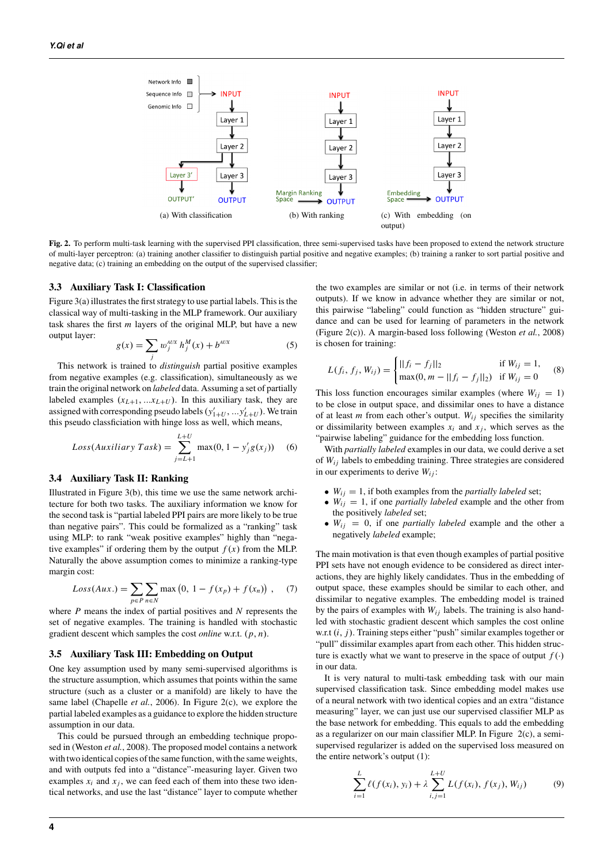

Fig. 2. To perform multi-task learning with the supervised PPI classification, three semi-supervised tasks have been proposed to extend the network structure of multi-layer perceptron: (a) training another classifier to distinguish partial positive and negative examples; (b) training a ranker to sort partial positive and negative data; (c) training an embedding on the output of the supervised classifier;

## 3.3 Auxiliary Task I: Classification

Figure 3(a) illustrates the first strategy to use partial labels. This is the classical way of multi-tasking in the MLP framework. Our auxiliary task shares the first *m* layers of the original MLP, but have a new output layer:

$$
g(x) = \sum_{j} w_j^{AUX} h_j^M(x) + b^{AUX}
$$
 (5)

This network is trained to *distinguish* partial positive examples from negative examples (e.g. classification), simultaneously as we train the original network on *labeled* data. Assuming a set of partially labeled examples  $(x_{L+1},...x_{L+U})$ . In this auxiliary task, they are assigned with corresponding pseudo labels  $(y'_{1+U}, ..., y'_{L+U})$ . We train this pseudo classficiation with hinge loss as well, which means,

$$
Loss(Auxiliary Task) = \sum_{j=L+1}^{L+U} \max(0, 1 - y_j'g(x_j))
$$
 (6)

## 3.4 Auxiliary Task II: Ranking

Illustrated in Figure 3(b), this time we use the same network architecture for both two tasks. The auxiliary information we know for the second task is "partial labeled PPI pairs are more likely to be true than negative pairs". This could be formalized as a "ranking" task using MLP: to rank "weak positive examples" highly than "negative examples" if ordering them by the output  $f(x)$  from the MLP. Naturally the above assumption comes to minimize a ranking-type margin cost:

$$
Loss(Aux.) = \sum_{p \in P} \sum_{n \in N} \max(0, 1 - f(x_p) + f(x_n)), \quad (7)
$$

where *P* means the index of partial positives and *N* represents the set of negative examples. The training is handled with stochastic gradient descent which samples the cost *online* w.r.t. (*p*, *n*).

#### 3.5 Auxiliary Task III: Embedding on Output

One key assumption used by many semi-supervised algorithms is the structure assumption, which assumes that points within the same structure (such as a cluster or a manifold) are likely to have the same label (Chapelle *et al.*, 2006). In Figure 2(c), we explore the partial labeled examples as a guidance to explore the hidden structure assumption in our data.

This could be pursued through an embedding technique proposed in (Weston *et al.*, 2008). The proposed model contains a network with two identical copies of the same function, with the same weights, and with outputs fed into a "distance"-measuring layer. Given two examples  $x_i$  and  $x_j$ , we can feed each of them into these two identical networks, and use the last "distance" layer to compute whether the two examples are similar or not (i.e. in terms of their network outputs). If we know in advance whether they are similar or not, this pairwise "labeling" could function as "hidden structure" guidance and can be used for learning of parameters in the network (Figure 2(c)). A margin-based loss following (Weston *et al.*, 2008) is chosen for training:

$$
L(f_i, f_j, W_{ij}) = \begin{cases} ||f_i - f_j||_2 & \text{if } W_{ij} = 1, \\ \max(0, m - ||f_i - f_j||_2) & \text{if } W_{ij} = 0 \end{cases}
$$
 (8)

This loss function encourages similar examples (where  $W_{ij} = 1$ ) to be close in output space, and dissimilar ones to have a distance of at least *m* from each other's output.  $W_{ij}$  specifies the similarity or dissimilarity between examples  $x_i$  and  $x_j$ , which serves as the "pairwise labeling" guidance for the embedding loss function.

With *partially labeled* examples in our data, we could derive a set of *Wi j* labels to embedding training. Three strategies are considered in our experiments to derive  $W_{ij}$ :

- $W_{ij} = 1$ , if both examples from the *partially labeled* set;
- $W_{ij} = 1$ , if one *partially labeled* example and the other from the positively *labeled* set;
- $W_{ii} = 0$ , if one *partially labeled* example and the other a negatively *labeled* example;

The main motivation is that even though examples of partial positive PPI sets have not enough evidence to be considered as direct interactions, they are highly likely candidates. Thus in the embedding of output space, these examples should be similar to each other, and dissimilar to negative examples. The embedding model is trained by the pairs of examples with  $W_{ij}$  labels. The training is also handled with stochastic gradient descent which samples the cost online w.r.t (*i*, *j*). Training steps either "push" similar examples together or "pull" dissimilar examples apart from each other. This hidden structure is exactly what we want to preserve in the space of output  $f(\cdot)$ in our data.

It is very natural to multi-task embedding task with our main supervised classification task. Since embedding model makes use of a neural network with two identical copies and an extra "distance measuring" layer, we can just use our supervised classifier MLP as the base network for embedding. This equals to add the embedding as a regularizer on our main classifier MLP. In Figure 2(c), a semisupervised regularizer is added on the supervised loss measured on the entire network's output (1):

$$
\sum_{i=1}^{L} \ell(f(x_i), y_i) + \lambda \sum_{i,j=1}^{L+U} L(f(x_i), f(x_j), W_{ij})
$$
(9)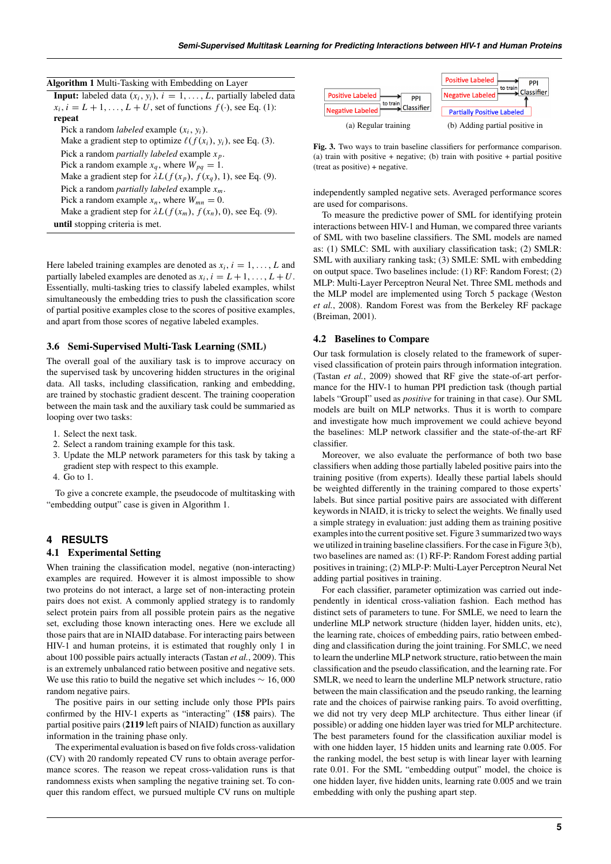|  |  | Algorithm 1 Multi-Tasking with Embedding on Layer |  |
|--|--|---------------------------------------------------|--|
|--|--|---------------------------------------------------|--|

**Input:** labeled data  $(x_i, y_i)$ ,  $i = 1, \ldots, L$ , partially labeled data  $x_i$ ,  $i = L + 1, \ldots, L + U$ , set of functions  $f(\cdot)$ , see Eq. (1): repeat Pick a random *labeled* example (*xi*, *yi*). Make a gradient step to optimize  $\ell(f(x_i), y_i)$ , see Eq. (3). Pick a random *partially labeled* example *x <sup>p</sup>*. Pick a random example  $x_q$ , where  $W_{pq} = 1$ . Make a gradient step for  $\lambda L(f(x_p), f(x_q), 1)$ , see Eq. (9). Pick a random *partially labeled* example *xm*. Pick a random example  $x_n$ , where  $W_{mn} = 0$ . Make a gradient step for  $\lambda L(f(x_m), f(x_n), 0)$ , see Eq. (9). until stopping criteria is met.

Here labeled training examples are denoted as  $x_i$ ,  $i = 1, \ldots, L$  and partially labeled examples are denoted as  $x_i$ ,  $i = L + 1, ..., L + U$ . Essentially, multi-tasking tries to classify labeled examples, whilst simultaneously the embedding tries to push the classification score of partial positive examples close to the scores of positive examples, and apart from those scores of negative labeled examples.

#### 3.6 Semi-Supervised Multi-Task Learning (SML)

The overall goal of the auxiliary task is to improve accuracy on the supervised task by uncovering hidden structures in the original data. All tasks, including classification, ranking and embedding, are trained by stochastic gradient descent. The training cooperation between the main task and the auxiliary task could be summaried as looping over two tasks:

- 1. Select the next task.
- 2. Select a random training example for this task.
- 3. Update the MLP network parameters for this task by taking a gradient step with respect to this example.
- 4. Go to 1.

To give a concrete example, the pseudocode of multitasking with "embedding output" case is given in Algorithm 1.

# **4 RESULTS**

## 4.1 Experimental Setting

When training the classification model, negative (non-interacting) examples are required. However it is almost impossible to show two proteins do not interact, a large set of non-interacting protein pairs does not exist. A commonly applied strategy is to randomly select protein pairs from all possible protein pairs as the negative set, excluding those known interacting ones. Here we exclude all those pairs that are in NIAID database. For interacting pairs between HIV-1 and human proteins, it is estimated that roughly only 1 in about 100 possible pairs actually interacts (Tastan *et al.*, 2009). This is an extremely unbalanced ratio between positive and negative sets. We use this ratio to build the negative set which includes  $\sim 16,000$ random negative pairs.

The positive pairs in our setting include only those PPIs pairs confirmed by the HIV-1 experts as "interacting" (158 pairs). The partial positive pairs (2119 left pairs of NIAID) function as auxillary information in the training phase only.

The experimental evaluation is based on five folds cross-validation (CV) with 20 randomly repeated CV runs to obtain average performance scores. The reason we repeat cross-validation runs is that randomness exists when sampling the negative training set. To conquer this random effect, we pursued multiple CV runs on multiple



Fig. 3. Two ways to train baseline classifiers for performance comparison. (a) train with positive + negative; (b) train with positive + partial positive (treat as positive) + negative.

independently sampled negative sets. Averaged performance scores are used for comparisons.

To measure the predictive power of SML for identifying protein interactions between HIV-1 and Human, we compared three variants of SML with two baseline classifiers. The SML models are named as: (1) SMLC: SML with auxiliary classification task; (2) SMLR: SML with auxiliary ranking task; (3) SMLE: SML with embedding on output space. Two baselines include: (1) RF: Random Forest; (2) MLP: Multi-Layer Perceptron Neural Net. Three SML methods and the MLP model are implemented using Torch 5 package (Weston *et al.*, 2008). Random Forest was from the Berkeley RF package (Breiman, 2001).

#### 4.2 Baselines to Compare

Our task formulation is closely related to the framework of supervised classification of protein pairs through information integration. (Tastan *et al.*, 2009) showed that RF give the state-of-art performance for the HIV-1 to human PPI prediction task (though partial labels "GroupI" used as *positive* for training in that case). Our SML models are built on MLP networks. Thus it is worth to compare and investigate how much improvement we could achieve beyond the baselines: MLP network classifier and the state-of-the-art RF classifier.

Moreover, we also evaluate the performance of both two base classifiers when adding those partially labeled positive pairs into the training positive (from experts). Ideally these partial labels should be weighted differently in the training compared to those experts' labels. But since partial positive pairs are associated with different keywords in NIAID, it is tricky to select the weights. We finally used a simple strategy in evaluation: just adding them as training positive examples into the current positive set. Figure 3 summarized two ways we utilized in training baseline classifiers. For the case in Figure 3(b), two baselines are named as: (1) RF-P: Random Forest adding partial positives in training; (2) MLP-P: Multi-Layer Perceptron Neural Net adding partial positives in training.

For each classifier, parameter optimization was carried out independently in identical cross-valiation fashion. Each method has distinct sets of parameters to tune. For SMLE, we need to learn the underline MLP network structure (hidden layer, hidden units, etc), the learning rate, choices of embedding pairs, ratio between embedding and classification during the joint training. For SMLC, we need to learn the underline MLP network structure, ratio between the main classification and the pseudo classification, and the learning rate. For SMLR, we need to learn the underline MLP network structure, ratio between the main classification and the pseudo ranking, the learning rate and the choices of pairwise ranking pairs. To avoid overfitting, we did not try very deep MLP architecture. Thus either linear (if possible) or adding one hidden layer was tried for MLP architecture. The best parameters found for the classification auxiliar model is with one hidden layer, 15 hidden units and learning rate 0.005. For the ranking model, the best setup is with linear layer with learning rate 0.01. For the SML "embedding output" model, the choice is one hidden layer, five hidden units, learning rate 0.005 and we train embedding with only the pushing apart step.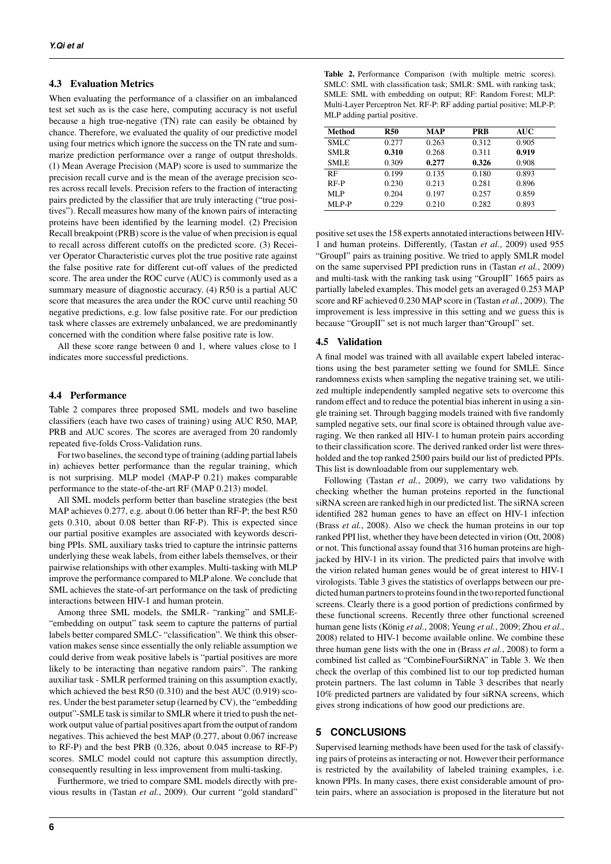## 4.3 Evaluation Metrics

When evaluating the performance of a classifier on an imbalanced test set such as is the case here, computing accuracy is not useful because a high true-negative (TN) rate can easily be obtained by chance. Therefore, we evaluated the quality of our predictive model using four metrics which ignore the success on the TN rate and summarize prediction performance over a range of output thresholds. (1) Mean Average Precision (MAP) score is used to summarize the precision recall curve and is the mean of the average precision scores across recall levels. Precision refers to the fraction of interacting pairs predicted by the classifier that are truly interacting ("true positives"). Recall measures how many of the known pairs of interacting proteins have been identified by the learning model. (2) Precision Recall breakpoint (PRB) score is the value of when precision is equal to recall across different cutoffs on the predicted score. (3) Receiver Operator Characteristic curves plot the true positive rate against the false positive rate for different cut-off values of the predicted score. The area under the ROC curve (AUC) is commonly used as a summary measure of diagnostic accuracy. (4) R50 is a partial AUC score that measures the area under the ROC curve until reaching 50 negative predictions, e.g. low false positive rate. For our prediction task where classes are extremely unbalanced, we are predominantly concerned with the condition where false positive rate is low.

All these score range between 0 and 1, where values close to 1 indicates more successful predictions.

## 4.4 Performance

Table 2 compares three proposed SML models and two baseline classifiers (each have two cases of training) using AUC R50, MAP, PRB and AUC scores. The scores are averaged from 20 randomly repeated five-folds Cross-Validation runs.

For two baselines, the second type of training (adding partial labels in) achieves better performance than the regular training, which is not surprising. MLP model (MAP-P 0.21) makes comparable performance to the state-of-the-art RF (MAP 0.213) model.

All SML models perform better than baseline strategies (the best MAP achieves 0.277, e.g. about 0.06 better than RF-P; the best R50 gets 0.310, about 0.08 better than RF-P). This is expected since our partial positive examples are associated with keywords describing PPIs. SML auxiliary tasks tried to capture the intrinsic patterns underlying these weak labels, from either labels themselves, or their pairwise relationships with other examples. Multi-tasking with MLP improve the performance compared to MLP alone. We conclude that SML achieves the state-of-art performance on the task of predicting interactions between HIV-1 and human protein.

Among three SML models, the SMLR- "ranking" and SMLE- "embedding on output" task seem to capture the patterns of partial labels better compared SMLC- "classification". We think this observation makes sense since essentially the only reliable assumption we could derive from weak positive labels is "partial positives are more likely to be interacting than negative random pairs". The ranking auxiliar task - SMLR performed training on this assumption exactly, which achieved the best R50 (0.310) and the best AUC (0.919) scores. Under the best parameter setup (learned by CV), the "embedding output"-SMLE task is similar to SMLR where it tried to push the network output value of partial positives apart from the output of random negatives. This achieved the best MAP (0.277, about 0.067 increase to RF-P) and the best PRB (0.326, about 0.045 increase to RF-P) scores. SMLC model could not capture this assumption directly, consequently resulting in less improvement from multi-tasking.

Furthermore, we tried to compare SML models directly with previous results in (Tastan *et al.*, 2009). Our current "gold standard"

| Table 2. Performance Comparison (with multiple metric scores).       |
|----------------------------------------------------------------------|
| SMLC: SML with classification task; SMLR: SML with ranking task;     |
| SMLE: SML with embedding on output; RF: Random Forest; MLP:          |
| Multi-Layer Perceptron Net. RF-P: RF adding partial positive; MLP-P: |
| MLP adding partial positive.                                         |

| Method      | <b>R50</b> | <b>MAP</b> | <b>PRB</b> | AUC   |
|-------------|------------|------------|------------|-------|
| <b>SMLC</b> | 0.277      | 0.263      | 0.312      | 0.905 |
| <b>SMLR</b> | 0.310      | 0.268      | 0.311      | 0.919 |
| <b>SMLE</b> | 0.309      | 0.277      | 0.326      | 0.908 |
| RF          | 0.199      | 0.135      | 0.180      | 0.893 |
| RF-P        | 0.230      | 0.213      | 0.281      | 0.896 |
| MLP         | 0.204      | 0.197      | 0.257      | 0.859 |
| MLP-P       | 0.229      | 0.210      | 0.282      | 0.893 |

positive set uses the 158 experts annotated interactions between HIV-1 and human proteins. Differently, (Tastan *et al.*, 2009) used 955 "GroupI" pairs as training positive. We tried to apply SMLR model on the same supervised PPI prediction runs in (Tastan *et al.*, 2009) and multi-task with the ranking task using "GroupII" 1665 pairs as partially labeled examples. This model gets an averaged 0.253 MAP score and RF achieved 0.230 MAP score in (Tastan *et al.*, 2009). The improvement is less impressive in this setting and we guess this is because "GroupII" set is not much larger than"GroupI" set.

## 4.5 Validation

A final model was trained with all available expert labeled interactions using the best parameter setting we found for SMLE. Since randomness exists when sampling the negative training set, we utilized multiple independently sampled negative sets to overcome this random effect and to reduce the potential bias inherent in using a single training set. Through bagging models trained with five randomly sampled negative sets, our final score is obtained through value averaging. We then ranked all HIV-1 to human protein pairs according to their classification score. The derived ranked order list were thresholded and the top ranked 2500 pairs build our list of predicted PPIs. This list is downloadable from our supplementary web.

Following (Tastan *et al.*, 2009), we carry two validations by checking whether the human proteins reported in the functional siRNA screen are ranked high in our predicted list. The siRNA screen identified 282 human genes to have an effect on HIV-1 infection (Brass *et al.*, 2008). Also we check the human proteins in our top ranked PPI list, whether they have been detected in virion (Ott, 2008) or not. This functional assay found that 316 human proteins are highjacked by HIV-1 in its virion. The predicted pairs that involve with the virion related human genes would be of great interest to HIV-1 virologists. Table 3 gives the statistics of overlapps between our predicted human partners to proteins found in the two reported functional screens. Clearly there is a good portion of predictions confirmed by these functional screens. Recently three other functional screened human gene lists (König *et al.*, 2008; Yeung *et al.*, 2009; Zhou *et al.*, 2008) related to HIV-1 become available online. We combine these three human gene lists with the one in (Brass *et al.*, 2008) to form a combined list called as "CombineFourSiRNA" in Table 3. We then check the overlap of this combined list to our top predicted human protein partners. The last column in Table 3 describes that nearly 10% predicted partners are validated by four siRNA screens, which gives strong indications of how good our predictions are.

## **5 CONCLUSIONS**

Supervised learning methods have been used for the task of classifying pairs of proteins as interacting or not. However their performance is restricted by the availability of labeled training examples, i.e. known PPIs. In many cases, there exist considerable amount of protein pairs, where an association is proposed in the literature but not